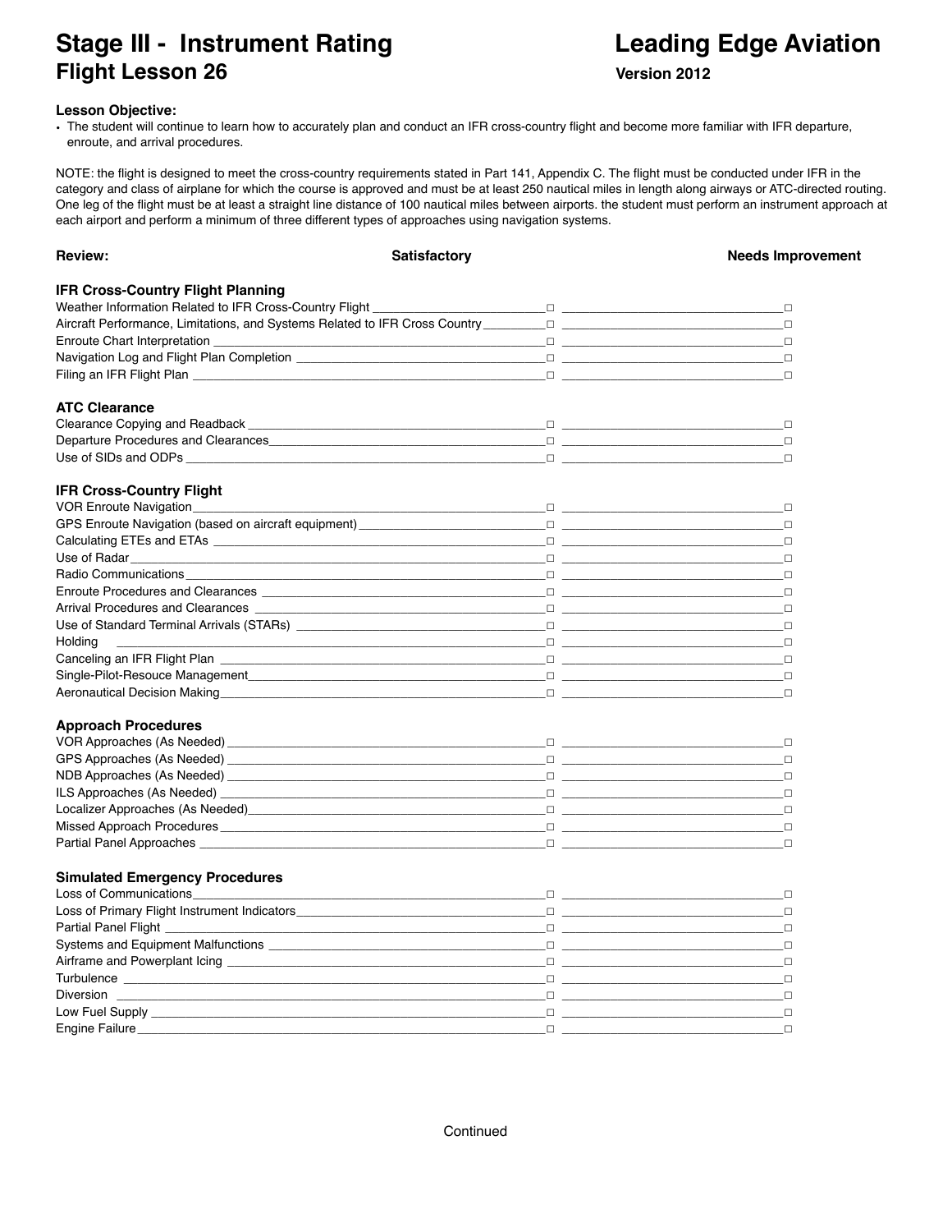# **Stage III - Instrument Rating Communist Communist Communist Communist Communist Communist Communist Communist Communist Communist Communist Communist Communist Communist Communist Communist Communist Communist Communist C Flight Lesson 26 Version 2012**

### **Lesson Objective:**

• The student will continue to learn how to accurately plan and conduct an IFR cross-country flight and become more familiar with IFR departure, enroute, and arrival procedures.

NOTE: the flight is designed to meet the cross-country requirements stated in Part 141, Appendix C. The flight must be conducted under IFR in the category and class of airplane for which the course is approved and must be at least 250 nautical miles in length along airways or ATC-directed routing. One leg of the flight must be at least a straight line distance of 100 nautical miles between airports. the student must perform an instrument approach at each airport and perform a minimum of three different types of approaches using navigation systems.

| <b>Review:</b>                                                                                                                                                                                                                      | Satisfactory | <b>Needs Improvement</b> |
|-------------------------------------------------------------------------------------------------------------------------------------------------------------------------------------------------------------------------------------|--------------|--------------------------|
| <b>IFR Cross-Country Flight Planning</b>                                                                                                                                                                                            |              |                          |
|                                                                                                                                                                                                                                     |              |                          |
|                                                                                                                                                                                                                                     |              | $\Box$                   |
|                                                                                                                                                                                                                                     |              |                          |
| Navigation Log and Flight Plan Completion $\Box$                                                                                                                                                                                    |              |                          |
|                                                                                                                                                                                                                                     |              |                          |
| <b>ATC Clearance</b>                                                                                                                                                                                                                |              |                          |
|                                                                                                                                                                                                                                     |              |                          |
|                                                                                                                                                                                                                                     |              |                          |
|                                                                                                                                                                                                                                     |              |                          |
| <b>IFR Cross-Country Flight</b>                                                                                                                                                                                                     |              |                          |
|                                                                                                                                                                                                                                     |              |                          |
|                                                                                                                                                                                                                                     |              |                          |
|                                                                                                                                                                                                                                     |              |                          |
|                                                                                                                                                                                                                                     |              |                          |
|                                                                                                                                                                                                                                     |              |                          |
|                                                                                                                                                                                                                                     |              |                          |
|                                                                                                                                                                                                                                     |              | - 0                      |
|                                                                                                                                                                                                                                     |              |                          |
| Holding                                                                                                                                                                                                                             |              |                          |
| Canceling an IFR Flight Plan                                                                                                                                                                                                        |              |                          |
|                                                                                                                                                                                                                                     |              |                          |
| Aeronautical Decision Making Decision Contract Contract Contract Contract Contract Contract Contract Contract C                                                                                                                     |              |                          |
| <b>Approach Procedures</b>                                                                                                                                                                                                          |              |                          |
|                                                                                                                                                                                                                                     |              |                          |
|                                                                                                                                                                                                                                     |              |                          |
|                                                                                                                                                                                                                                     |              |                          |
|                                                                                                                                                                                                                                     |              |                          |
|                                                                                                                                                                                                                                     |              |                          |
|                                                                                                                                                                                                                                     |              |                          |
|                                                                                                                                                                                                                                     |              |                          |
| <b>Simulated Emergency Procedures</b>                                                                                                                                                                                               |              |                          |
|                                                                                                                                                                                                                                     |              |                          |
|                                                                                                                                                                                                                                     |              |                          |
|                                                                                                                                                                                                                                     |              |                          |
|                                                                                                                                                                                                                                     |              |                          |
|                                                                                                                                                                                                                                     |              |                          |
|                                                                                                                                                                                                                                     |              |                          |
|                                                                                                                                                                                                                                     |              |                          |
|                                                                                                                                                                                                                                     |              | $\Box$                   |
| Engine Failure <b>Example 2018</b> and 2019 and 2019 and 2019 and 2019 and 2019 and 2019 and 2019 and 2019 and 2019 and 2019 and 2019 and 2019 and 2019 and 2019 and 2019 and 2019 and 2019 and 2019 and 2019 and 2019 and 2019 and |              |                          |
|                                                                                                                                                                                                                                     |              |                          |